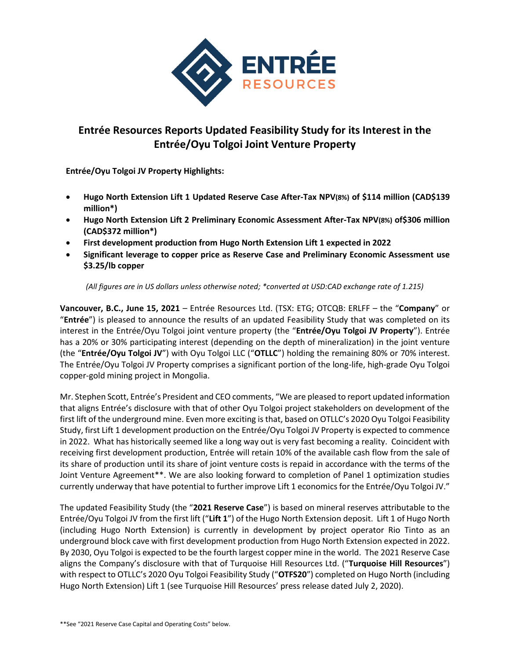

# **Entrée Resources Reports Updated Feasibility Study for its Interest in the Entrée/Oyu Tolgoi Joint Venture Property**

**Entrée/Oyu Tolgoi JV Property Highlights:**

- **Hugo North Extension Lift 1 Updated Reserve Case After-Tax NPV(8%) of \$114 million (CAD\$139 million\*)**
- **Hugo North Extension Lift 2 Preliminary Economic Assessment After-Tax NPV(8%) of\$306 million (CAD\$372 million\*)**
- **First development production from Hugo North Extension Lift 1 expected in 2022**
- **Significant leverage to copper price as Reserve Case and Preliminary Economic Assessment use \$3.25/lb copper**

*(All figures are in US dollars unless otherwise noted; \*converted at USD:CAD exchange rate of 1.215)*

**Vancouver, B.C., June 15, 2021** – Entrée Resources Ltd. (TSX: ETG; OTCQB: ERLFF – the "**Company**" or "**Entrée**") is pleased to announce the results of an updated Feasibility Study that was completed on its interest in the Entrée/Oyu Tolgoi joint venture property (the "**Entrée/Oyu Tolgoi JV Property**"). Entrée has a 20% or 30% participating interest (depending on the depth of mineralization) in the joint venture (the "**Entrée/Oyu Tolgoi JV**") with Oyu Tolgoi LLC ("**OTLLC**") holding the remaining 80% or 70% interest. The Entrée/Oyu Tolgoi JV Property comprises a significant portion of the long-life, high-grade Oyu Tolgoi copper-gold mining project in Mongolia.

Mr. Stephen Scott, Entrée's President and CEO comments, "We are pleased to report updated information that aligns Entrée's disclosure with that of other Oyu Tolgoi project stakeholders on development of the first lift of the underground mine. Even more exciting is that, based on OTLLC's 2020 Oyu Tolgoi Feasibility Study, first Lift 1 development production on the Entrée/Oyu Tolgoi JV Property is expected to commence in 2022. What has historically seemed like a long way out is very fast becoming a reality. Coincident with receiving first development production, Entrée will retain 10% of the available cash flow from the sale of its share of production until its share of joint venture costs is repaid in accordance with the terms of the Joint Venture Agreement\*\*. We are also looking forward to completion of Panel 1 optimization studies currently underway that have potential to further improve Lift 1 economics for the Entrée/Oyu Tolgoi JV."

The updated Feasibility Study (the "**2021 Reserve Case**") is based on mineral reserves attributable to the Entrée/Oyu Tolgoi JV from the first lift ("**Lift 1**") of the Hugo North Extension deposit. Lift 1 of Hugo North (including Hugo North Extension) is currently in development by project operator Rio Tinto as an underground block cave with first development production from Hugo North Extension expected in 2022. By 2030, Oyu Tolgoi is expected to be the fourth largest copper mine in the world. The 2021 Reserve Case aligns the Company's disclosure with that of Turquoise Hill Resources Ltd. ("**Turquoise Hill Resources**") with respect to OTLLC's 2020 Oyu Tolgoi Feasibility Study ("**OTFS20**") completed on Hugo North (including Hugo North Extension) Lift 1 (see Turquoise Hill Resources' press release dated July 2, 2020).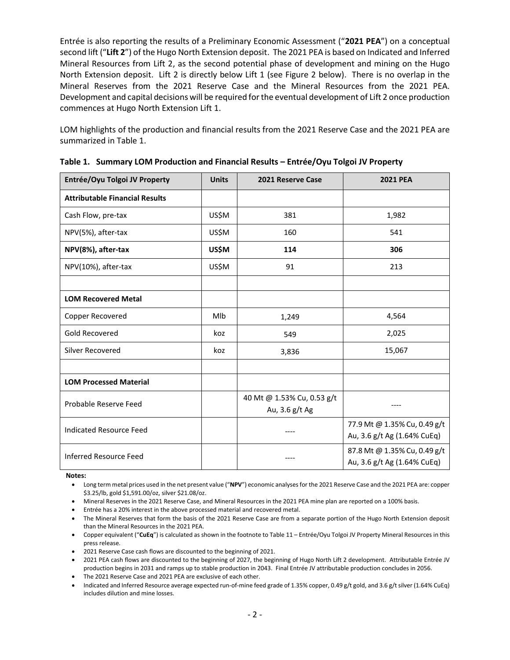Entrée is also reporting the results of a Preliminary Economic Assessment ("**2021 PEA**") on a conceptual second lift ("**Lift 2**") of the Hugo North Extension deposit. The 2021 PEA is based on Indicated and Inferred Mineral Resources from Lift 2, as the second potential phase of development and mining on the Hugo North Extension deposit. Lift 2 is directly below Lift 1 (see Figure 2 below). There is no overlap in the Mineral Reserves from the 2021 Reserve Case and the Mineral Resources from the 2021 PEA. Development and capital decisions will be required for the eventual development of Lift 2 once production commences at Hugo North Extension Lift 1.

LOM highlights of the production and financial results from the 2021 Reserve Case and the 2021 PEA are summarized in Table 1.

| Entrée/Oyu Tolgoi JV Property         | <b>Units</b> | 2021 Reserve Case                            | <b>2021 PEA</b>                                             |  |
|---------------------------------------|--------------|----------------------------------------------|-------------------------------------------------------------|--|
| <b>Attributable Financial Results</b> |              |                                              |                                                             |  |
| Cash Flow, pre-tax                    | US\$M        | 381                                          | 1,982                                                       |  |
| NPV(5%), after-tax                    | US\$M        | 160                                          | 541                                                         |  |
| NPV(8%), after-tax                    | <b>US\$M</b> | 114                                          | 306                                                         |  |
| NPV(10%), after-tax                   | US\$M        | 91                                           | 213                                                         |  |
|                                       |              |                                              |                                                             |  |
| <b>LOM Recovered Metal</b>            |              |                                              |                                                             |  |
| Copper Recovered                      | Mlb          | 1,249                                        | 4,564                                                       |  |
| Gold Recovered                        | koz<br>549   |                                              | 2,025                                                       |  |
| Silver Recovered                      | koz          | 3,836                                        | 15,067                                                      |  |
|                                       |              |                                              |                                                             |  |
| <b>LOM Processed Material</b>         |              |                                              |                                                             |  |
| Probable Reserve Feed                 |              | 40 Mt @ 1.53% Cu, 0.53 g/t<br>Au, 3.6 g/t Ag |                                                             |  |
| <b>Indicated Resource Feed</b>        |              |                                              | 77.9 Mt @ 1.35% Cu, 0.49 g/t<br>Au, 3.6 g/t Ag (1.64% CuEq) |  |
| <b>Inferred Resource Feed</b>         |              |                                              | 87.8 Mt @ 1.35% Cu, 0.49 g/t<br>Au, 3.6 g/t Ag (1.64% CuEq) |  |

|  |  |  | Table 1. Summary LOM Production and Financial Results - Entrée/Oyu Tolgoi JV Property |
|--|--|--|---------------------------------------------------------------------------------------|
|--|--|--|---------------------------------------------------------------------------------------|

**Notes:**

- Long term metal prices used in the net present value ("**NPV**") economic analyses for the 2021 Reserve Case and the 2021 PEA are: copper \$3.25/lb, gold \$1,591.00/oz, silver \$21.08/oz.
- Mineral Reserves in the 2021 Reserve Case, and Mineral Resources in the 2021 PEA mine plan are reported on a 100% basis.
- Entrée has a 20% interest in the above processed material and recovered metal.
- The Mineral Reserves that form the basis of the 2021 Reserve Case are from a separate portion of the Hugo North Extension deposit than the Mineral Resources in the 2021 PEA.
- Copper equivalent ("**CuEq**") is calculated as shown in the footnote to Table 11 Entrée/Oyu Tolgoi JV Property Mineral Resources in this press release.
- 2021 Reserve Case cash flows are discounted to the beginning of 2021.
- 2021 PEA cash flows are discounted to the beginning of 2027, the beginning of Hugo North Lift 2 development. Attributable Entrée JV production begins in 2031 and ramps up to stable production in 2043. Final Entrée JV attributable production concludes in 2056.
- The 2021 Reserve Case and 2021 PEA are exclusive of each other.
- Indicated and Inferred Resource average expected run-of-mine feed grade of 1.35% copper, 0.49 g/t gold, and 3.6 g/t silver (1.64% CuEq) includes dilution and mine losses.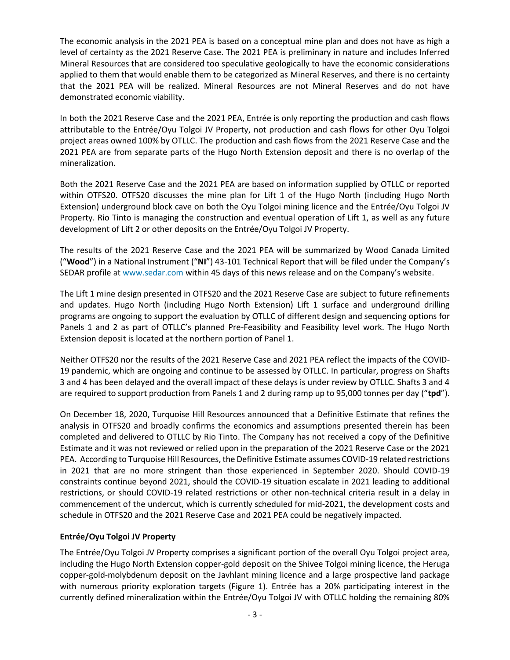The economic analysis in the 2021 PEA is based on a conceptual mine plan and does not have as high a level of certainty as the 2021 Reserve Case. The 2021 PEA is preliminary in nature and includes Inferred Mineral Resources that are considered too speculative geologically to have the economic considerations applied to them that would enable them to be categorized as Mineral Reserves, and there is no certainty that the 2021 PEA will be realized. Mineral Resources are not Mineral Reserves and do not have demonstrated economic viability.

In both the 2021 Reserve Case and the 2021 PEA, Entrée is only reporting the production and cash flows attributable to the Entrée/Oyu Tolgoi JV Property, not production and cash flows for other Oyu Tolgoi project areas owned 100% by OTLLC. The production and cash flows from the 2021 Reserve Case and the 2021 PEA are from separate parts of the Hugo North Extension deposit and there is no overlap of the mineralization.

Both the 2021 Reserve Case and the 2021 PEA are based on information supplied by OTLLC or reported within OTFS20. OTFS20 discusses the mine plan for Lift 1 of the Hugo North (including Hugo North Extension) underground block cave on both the Oyu Tolgoi mining licence and the Entrée/Oyu Tolgoi JV Property. Rio Tinto is managing the construction and eventual operation of Lift 1, as well as any future development of Lift 2 or other deposits on the Entrée/Oyu Tolgoi JV Property.

The results of the 2021 Reserve Case and the 2021 PEA will be summarized by Wood Canada Limited ("**Wood**") in a National Instrument ("**NI**") 43-101 Technical Report that will be filed under the Company's SEDAR profile at [www.sedar.com](http://www.sedar.com/) within 45 days of this news release and on the Company's website.

The Lift 1 mine design presented in OTFS20 and the 2021 Reserve Case are subject to future refinements and updates. Hugo North (including Hugo North Extension) Lift 1 surface and underground drilling programs are ongoing to support the evaluation by OTLLC of different design and sequencing options for Panels 1 and 2 as part of OTLLC's planned Pre-Feasibility and Feasibility level work. The Hugo North Extension deposit is located at the northern portion of Panel 1.

Neither OTFS20 nor the results of the 2021 Reserve Case and 2021 PEA reflect the impacts of the COVID-19 pandemic, which are ongoing and continue to be assessed by OTLLC. In particular, progress on Shafts 3 and 4 has been delayed and the overall impact of these delays is under review by OTLLC. Shafts 3 and 4 are required to support production from Panels 1 and 2 during ramp up to 95,000 tonnes per day ("**tpd**").

On December 18, 2020, Turquoise Hill Resources announced that a Definitive Estimate that refines the analysis in OTFS20 and broadly confirms the economics and assumptions presented therein has been completed and delivered to OTLLC by Rio Tinto. The Company has not received a copy of the Definitive Estimate and it was not reviewed or relied upon in the preparation of the 2021 Reserve Case or the 2021 PEA. According to Turquoise Hill Resources, the Definitive Estimate assumes COVID-19 related restrictions in 2021 that are no more stringent than those experienced in September 2020. Should COVID-19 constraints continue beyond 2021, should the COVID-19 situation escalate in 2021 leading to additional restrictions, or should COVID-19 related restrictions or other non-technical criteria result in a delay in commencement of the undercut, which is currently scheduled for mid-2021, the development costs and schedule in OTFS20 and the 2021 Reserve Case and 2021 PEA could be negatively impacted.

# **Entrée/Oyu Tolgoi JV Property**

The Entrée/Oyu Tolgoi JV Property comprises a significant portion of the overall Oyu Tolgoi project area, including the Hugo North Extension copper-gold deposit on the Shivee Tolgoi mining licence, the Heruga copper-gold-molybdenum deposit on the Javhlant mining licence and a large prospective land package with numerous priority exploration targets (Figure 1). Entrée has a 20% participating interest in the currently defined mineralization within the Entrée/Oyu Tolgoi JV with OTLLC holding the remaining 80%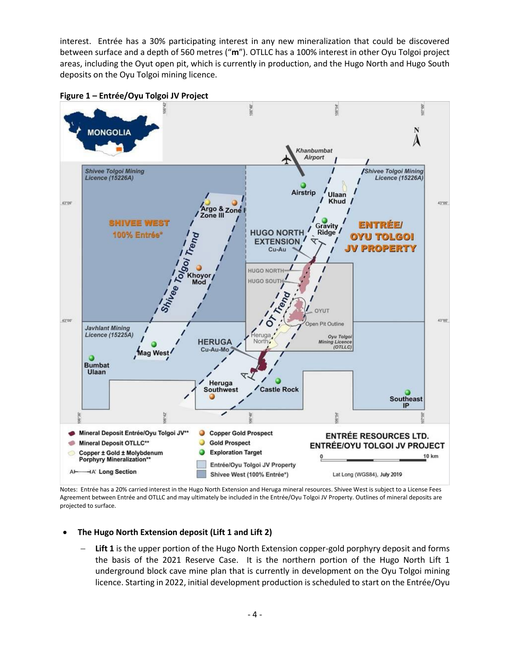interest. Entrée has a 30% participating interest in any new mineralization that could be discovered between surface and a depth of 560 metres ("**m**"). OTLLC has a 100% interest in other Oyu Tolgoi project areas, including the Oyut open pit, which is currently in production, and the Hugo North and Hugo South deposits on the Oyu Tolgoi mining licence.



**Figure 1 – Entrée/Oyu Tolgoi JV Project**

Notes: Entrée has a 20% carried interest in the Hugo North Extension and Heruga mineral resources. Shivee West is subject to a License Fees Agreement between Entrée and OTLLC and may ultimately be included in the Entrée/Oyu Tolgoi JV Property. Outlines of mineral deposits are projected to surface.

- **The Hugo North Extension deposit (Lift 1 and Lift 2)**
	- Lift 1 is the upper portion of the Hugo North Extension copper-gold porphyry deposit and forms the basis of the 2021 Reserve Case. It is the northern portion of the Hugo North Lift 1 underground block cave mine plan that is currently in development on the Oyu Tolgoi mining licence. Starting in 2022, initial development production is scheduled to start on the Entrée/Oyu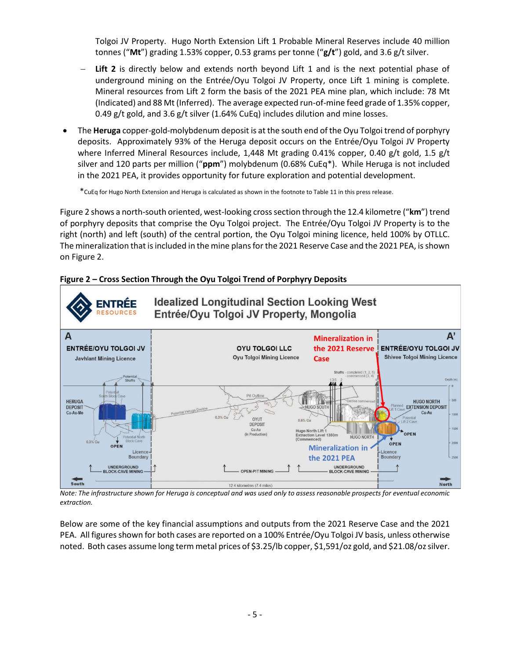Tolgoi JV Property. Hugo North Extension Lift 1 Probable Mineral Reserves include 40 million tonnes ("**Mt**") grading 1.53% copper, 0.53 grams per tonne ("**g/t**") gold, and 3.6 g/t silver.

- **Lift 2** is directly below and extends north beyond Lift 1 and is the next potential phase of underground mining on the Entrée/Oyu Tolgoi JV Property, once Lift 1 mining is complete. Mineral resources from Lift 2 form the basis of the 2021 PEA mine plan, which include: 78 Mt (Indicated) and 88 Mt (Inferred). The average expected run-of-mine feed grade of 1.35% copper, 0.49 g/t gold, and 3.6 g/t silver  $(1.64\%$  CuEq) includes dilution and mine losses.
- The **Heruga** copper-gold-molybdenum deposit is at the south end of the Oyu Tolgoi trend of porphyry deposits. Approximately 93% of the Heruga deposit occurs on the Entrée/Oyu Tolgoi JV Property where Inferred Mineral Resources include, 1,448 Mt grading 0.41% copper, 0.40 g/t gold, 1.5 g/t silver and 120 parts per million ("**ppm**") molybdenum (0.68% CuEq\*). While Heruga is not included in the 2021 PEA, it provides opportunity for future exploration and potential development.

\*CuEq for Hugo North Extension and Heruga is calculated as shown in the footnote to Table 11 in this press release.

Figure 2 shows a north-south oriented, west-looking cross section through the 12.4 kilometre ("**km**") trend of porphyry deposits that comprise the Oyu Tolgoi project. The Entrée/Oyu Tolgoi JV Property is to the right (north) and left (south) of the central portion, the Oyu Tolgoi mining licence, held 100% by OTLLC. The mineralization that isincluded in the mine plans for the 2021 Reserve Case and the 2021 PEA, isshown on Figure 2.





*Note: The infrastructure shown for Heruga is conceptual and was used only to assess reasonable prospects for eventual economic extraction.*

Below are some of the key financial assumptions and outputs from the 2021 Reserve Case and the 2021 PEA. All figures shown for both cases are reported on a 100% Entrée/Oyu Tolgoi JV basis, unless otherwise noted. Both cases assume long term metal prices of \$3.25/lb copper, \$1,591/oz gold, and \$21.08/oz silver.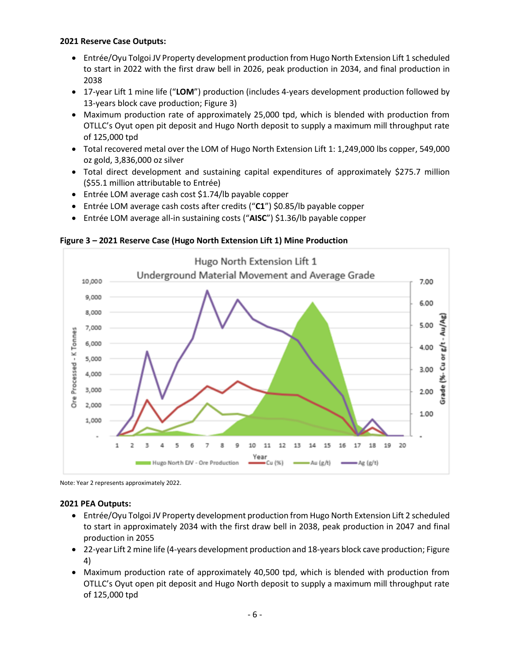## **2021 Reserve Case Outputs:**

- Entrée/Oyu Tolgoi JV Property development production from Hugo North Extension Lift 1 scheduled to start in 2022 with the first draw bell in 2026, peak production in 2034, and final production in 2038
- 17-year Lift 1 mine life ("**LOM**") production (includes 4-years development production followed by 13-years block cave production; Figure 3)
- Maximum production rate of approximately 25,000 tpd, which is blended with production from OTLLC's Oyut open pit deposit and Hugo North deposit to supply a maximum mill throughput rate of 125,000 tpd
- Total recovered metal over the LOM of Hugo North Extension Lift 1: 1,249,000 lbs copper, 549,000 oz gold, 3,836,000 oz silver
- Total direct development and sustaining capital expenditures of approximately \$275.7 million (\$55.1 million attributable to Entrée)
- Entrée LOM average cash cost \$1.74/lb payable copper
- Entrée LOM average cash costs after credits ("**C1**") \$0.85/lb payable copper
- Entrée LOM average all-in sustaining costs ("**AISC**") \$1.36/lb payable copper

**Figure 3 – 2021 Reserve Case (Hugo North Extension Lift 1) Mine Production**



Note: Year 2 represents approximately 2022.

## **2021 PEA Outputs:**

- Entrée/Oyu Tolgoi JV Property development production from Hugo North Extension Lift 2 scheduled to start in approximately 2034 with the first draw bell in 2038, peak production in 2047 and final production in 2055
- 22-year Lift 2 mine life (4-years development production and 18-years block cave production; Figure 4)
- Maximum production rate of approximately 40,500 tpd, which is blended with production from OTLLC's Oyut open pit deposit and Hugo North deposit to supply a maximum mill throughput rate of 125,000 tpd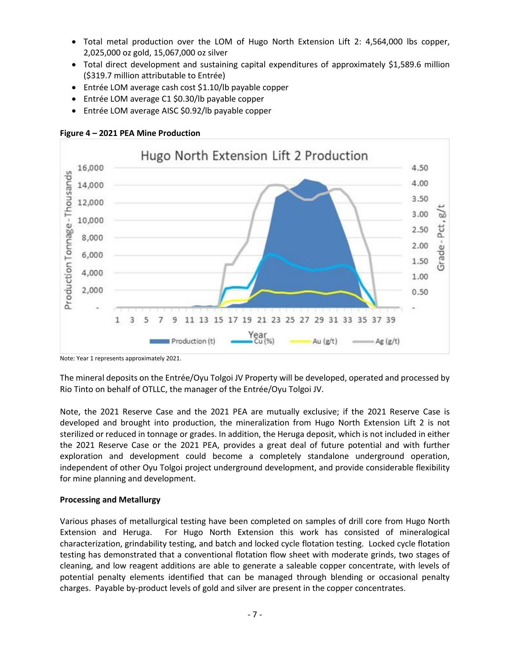- Total metal production over the LOM of Hugo North Extension Lift 2: 4,564,000 lbs copper, 2,025,000 oz gold, 15,067,000 oz silver
- Total direct development and sustaining capital expenditures of approximately \$1,589.6 million (\$319.7 million attributable to Entrée)
- Entrée LOM average cash cost \$1.10/lb payable copper
- Entrée LOM average C1 \$0.30/lb payable copper
- Entrée LOM average AISC \$0.92/lb payable copper



**Figure 4 – 2021 PEA Mine Production**

Note: Year 1 represents approximately 2021.

The mineral deposits on the Entrée/Oyu Tolgoi JV Property will be developed, operated and processed by Rio Tinto on behalf of OTLLC, the manager of the Entrée/Oyu Tolgoi JV.

Note, the 2021 Reserve Case and the 2021 PEA are mutually exclusive; if the 2021 Reserve Case is developed and brought into production, the mineralization from Hugo North Extension Lift 2 is not sterilized or reduced in tonnage or grades. In addition, the Heruga deposit, which is not included in either the 2021 Reserve Case or the 2021 PEA, provides a great deal of future potential and with further exploration and development could become a completely standalone underground operation, independent of other Oyu Tolgoi project underground development, and provide considerable flexibility for mine planning and development.

# **Processing and Metallurgy**

Various phases of metallurgical testing have been completed on samples of drill core from Hugo North Extension and Heruga. For Hugo North Extension this work has consisted of mineralogical characterization, grindability testing, and batch and locked cycle flotation testing. Locked cycle flotation testing has demonstrated that a conventional flotation flow sheet with moderate grinds, two stages of cleaning, and low reagent additions are able to generate a saleable copper concentrate, with levels of potential penalty elements identified that can be managed through blending or occasional penalty charges. Payable by-product levels of gold and silver are present in the copper concentrates.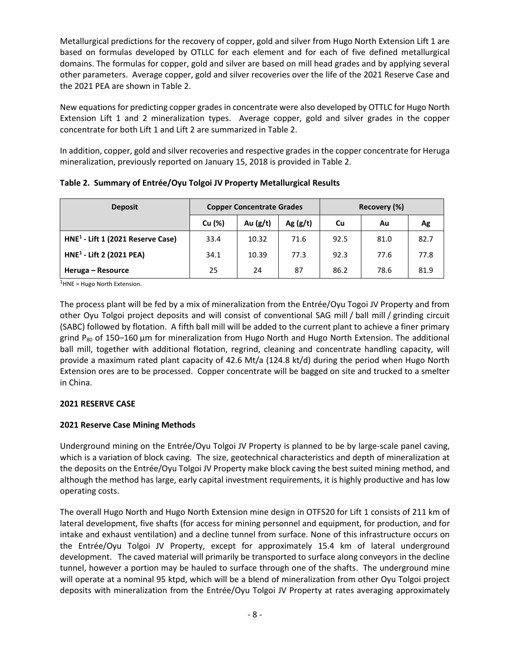Metallurgical predictions for the recovery of copper, gold and silver from Hugo North Extension Lift 1 are based on formulas developed by OTLLC for each element and for each of five defined metallurgical domains. The formulas for copper, gold and silver are based on mill head grades and by applying several other parameters. Average copper, gold and silver recoveries over the life of the 2021 Reserve Case and the 2021 PEA are shown in Table 2.

New equations for predicting copper grades in concentrate were also developed by OTTLC for Hugo North Extension Lift 1 and 2 mineralization types. Average copper, gold and silver grades in the copper concentrate for both Lift 1 and Lift 2 are summarized in Table 2.

In addition, copper, gold and silver recoveries and respective grades in the copper concentrate for Heruga mineralization, previously reported on January 15, 2018 is provided in Table 2.

| <b>Deposit</b>                      | <b>Copper Concentrate Grades</b> |            |            | Recovery (%) |      |      |
|-------------------------------------|----------------------------------|------------|------------|--------------|------|------|
|                                     | Cu (%)                           | Au $(g/t)$ | Ag $(g/t)$ | Cu           | Au   | Ag   |
| $HNE1$ - Lift 1 (2021 Reserve Case) | 33.4                             | 10.32      | 71.6       | 92.5         | 81.0 | 82.7 |
| $HNE1$ - Lift 2 (2021 PEA)          | 34.1                             | 10.39      | 77.3       | 92.3         | 77.6 | 77.8 |
| Heruga - Resource                   | 25                               | 24         | 87         | 86.2         | 78.6 | 81.9 |

**Table 2. Summary of Entrée/Oyu Tolgoi JV Property Metallurgical Results**

 $<sup>1</sup>$ HNE = Hugo North Extension.</sup>

The process plant will be fed by a mix of mineralization from the Entrée/Oyu Togoi JV Property and from other Oyu Tolgoi project deposits and will consist of conventional SAG mill / ball mill / grinding circuit (SABC) followed by flotation. A fifth ball mill will be added to the current plant to achieve a finer primary grind  $P_{80}$  of 150–160 µm for mineralization from Hugo North and Hugo North Extension. The additional ball mill, together with additional flotation, regrind, cleaning and concentrate handling capacity, will provide a maximum rated plant capacity of 42.6 Mt/a (124.8 kt/d) during the period when Hugo North Extension ores are to be processed. Copper concentrate will be bagged on site and trucked to a smelter in China.

# **2021 RESERVE CASE**

# **2021 Reserve Case Mining Methods**

Underground mining on the Entrée/Oyu Tolgoi JV Property is planned to be by large-scale panel caving, which is a variation of block caving. The size, geotechnical characteristics and depth of mineralization at the deposits on the Entrée/Oyu Tolgoi JV Property make block caving the best suited mining method, and although the method has large, early capital investment requirements, it is highly productive and has low operating costs.

The overall Hugo North and Hugo North Extension mine design in OTFS20 for Lift 1 consists of 211 km of lateral development, five shafts (for access for mining personnel and equipment, for production, and for intake and exhaust ventilation) and a decline tunnel from surface. None of this infrastructure occurs on the Entrée/Oyu Tolgoi JV Property, except for approximately 15.4 km of lateral underground development. The caved material will primarily be transported to surface along conveyors in the decline tunnel, however a portion may be hauled to surface through one of the shafts. The underground mine will operate at a nominal 95 ktpd, which will be a blend of mineralization from other Oyu Tolgoi project deposits with mineralization from the Entrée/Oyu Tolgoi JV Property at rates averaging approximately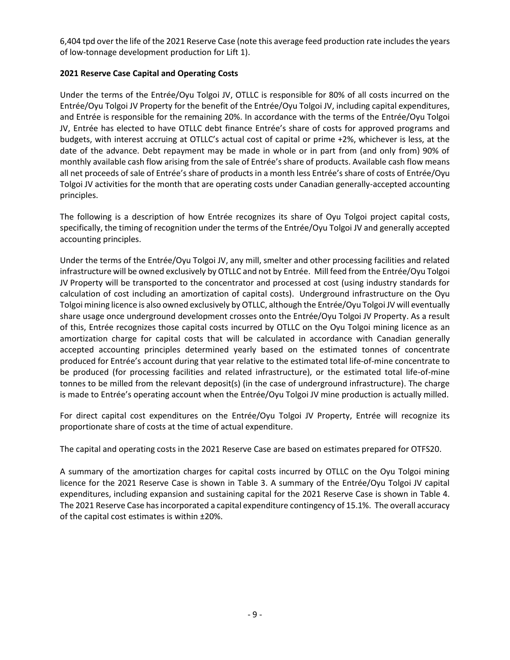6,404 tpd over the life of the 2021 Reserve Case (note this average feed production rate includes the years of low-tonnage development production for Lift 1).

# **2021 Reserve Case Capital and Operating Costs**

Under the terms of the Entrée/Oyu Tolgoi JV, OTLLC is responsible for 80% of all costs incurred on the Entrée/Oyu Tolgoi JV Property for the benefit of the Entrée/Oyu Tolgoi JV, including capital expenditures, and Entrée is responsible for the remaining 20%. In accordance with the terms of the Entrée/Oyu Tolgoi JV, Entrée has elected to have OTLLC debt finance Entrée's share of costs for approved programs and budgets, with interest accruing at OTLLC's actual cost of capital or prime +2%, whichever is less, at the date of the advance. Debt repayment may be made in whole or in part from (and only from) 90% of monthly available cash flow arising from the sale of Entrée's share of products. Available cash flow means all net proceeds of sale of Entrée's share of products in a month less Entrée's share of costs of Entrée/Oyu Tolgoi JV activities for the month that are operating costs under Canadian generally-accepted accounting principles.

The following is a description of how Entrée recognizes its share of Oyu Tolgoi project capital costs, specifically, the timing of recognition under the terms of the Entrée/Oyu Tolgoi JV and generally accepted accounting principles.

Under the terms of the Entrée/Oyu Tolgoi JV, any mill, smelter and other processing facilities and related infrastructure will be owned exclusively by OTLLC and not by Entrée. Mill feed from the Entrée/Oyu Tolgoi JV Property will be transported to the concentrator and processed at cost (using industry standards for calculation of cost including an amortization of capital costs). Underground infrastructure on the Oyu Tolgoi mining licence is also owned exclusively by OTLLC, although the Entrée/Oyu Tolgoi JV will eventually share usage once underground development crosses onto the Entrée/Oyu Tolgoi JV Property. As a result of this, Entrée recognizes those capital costs incurred by OTLLC on the Oyu Tolgoi mining licence as an amortization charge for capital costs that will be calculated in accordance with Canadian generally accepted accounting principles determined yearly based on the estimated tonnes of concentrate produced for Entrée's account during that year relative to the estimated total life-of-mine concentrate to be produced (for processing facilities and related infrastructure), or the estimated total life-of-mine tonnes to be milled from the relevant deposit(s) (in the case of underground infrastructure). The charge is made to Entrée's operating account when the Entrée/Oyu Tolgoi JV mine production is actually milled.

For direct capital cost expenditures on the Entrée/Oyu Tolgoi JV Property, Entrée will recognize its proportionate share of costs at the time of actual expenditure.

The capital and operating costs in the 2021 Reserve Case are based on estimates prepared for OTFS20.

A summary of the amortization charges for capital costs incurred by OTLLC on the Oyu Tolgoi mining licence for the 2021 Reserve Case is shown in Table 3. A summary of the Entrée/Oyu Tolgoi JV capital expenditures, including expansion and sustaining capital for the 2021 Reserve Case is shown in Table 4. The 2021 Reserve Case has incorporated a capital expenditure contingency of 15.1%. The overall accuracy of the capital cost estimates is within ±20%.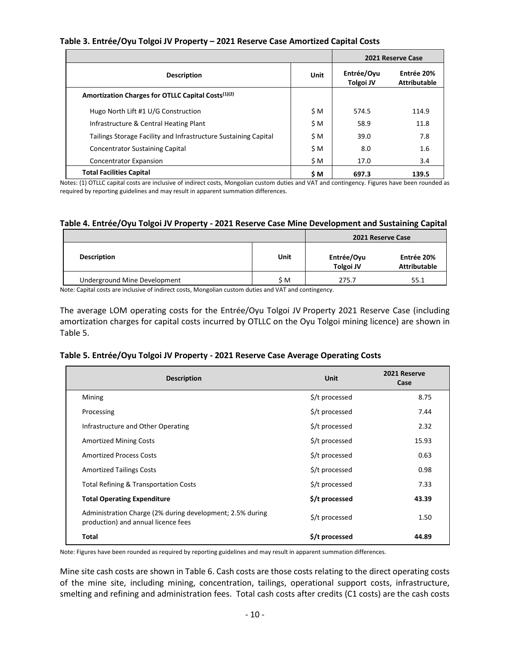# **Table 3. Entrée/Oyu Tolgoi JV Property – 2021 Reserve Case Amortized Capital Costs**

|                                                                 | 2021 Reserve Case              |                                   |       |
|-----------------------------------------------------------------|--------------------------------|-----------------------------------|-------|
| <b>Description</b>                                              | Entrée/Oyu<br><b>Tolgoi JV</b> | Entrée 20%<br><b>Attributable</b> |       |
| Amortization Charges for OTLLC Capital Costs <sup>(1)(2)</sup>  |                                |                                   |       |
| Hugo North Lift #1 U/G Construction                             | \$M                            | 574.5                             | 114.9 |
| Infrastructure & Central Heating Plant                          | \$M                            | 58.9                              | 11.8  |
| Tailings Storage Facility and Infrastructure Sustaining Capital | \$M                            | 39.0                              | 7.8   |
| <b>Concentrator Sustaining Capital</b>                          | \$M                            | 8.0                               | 1.6   |
| <b>Concentrator Expansion</b>                                   | \$M                            | 17.0                              | 3.4   |
| <b>Total Facilities Capital</b>                                 | \$ M                           | 697.3                             | 139.5 |

Notes: (1) OTLLC capital costs are inclusive of indirect costs, Mongolian custom duties and VAT and contingency. Figures have been rounded as required by reporting guidelines and may result in apparent summation differences.

## **Table 4. Entrée/Oyu Tolgoi JV Property - 2021 Reserve Case Mine Development and Sustaining Capital**

|                              |      | 2021 Reserve Case       |                                   |  |
|------------------------------|------|-------------------------|-----------------------------------|--|
| <b>Description</b>           | Unit | Entrée/Oyu<br>Tolgoi JV | Entrée 20%<br><b>Attributable</b> |  |
| Underground Mine Development | \$M  | 275.7                   | 55.1                              |  |

Note: Capital costs are inclusive of indirect costs, Mongolian custom duties and VAT and contingency.

The average LOM operating costs for the Entrée/Oyu Tolgoi JV Property 2021 Reserve Case (including amortization charges for capital costs incurred by OTLLC on the Oyu Tolgoi mining licence) are shown in Table 5.

#### **Table 5. Entrée/Oyu Tolgoi JV Property - 2021 Reserve Case Average Operating Costs**

| <b>Description</b>                                                                               | <b>Unit</b>    | 2021 Reserve<br>Case |
|--------------------------------------------------------------------------------------------------|----------------|----------------------|
| Mining                                                                                           | \$/t processed | 8.75                 |
| Processing                                                                                       | \$/t processed | 7.44                 |
| Infrastructure and Other Operating                                                               | \$/t processed | 2.32                 |
| <b>Amortized Mining Costs</b>                                                                    | \$/t processed | 15.93                |
| <b>Amortized Process Costs</b>                                                                   | \$/t processed | 0.63                 |
| <b>Amortized Tailings Costs</b>                                                                  | \$/t processed | 0.98                 |
| Total Refining & Transportation Costs                                                            | \$/t processed | 7.33                 |
| <b>Total Operating Expenditure</b>                                                               | \$/t processed | 43.39                |
| Administration Charge (2% during development; 2.5% during<br>production) and annual licence fees | \$/t processed | 1.50                 |
| Total                                                                                            | \$/t processed | 44.89                |

Note: Figures have been rounded as required by reporting guidelines and may result in apparent summation differences.

Mine site cash costs are shown in Table 6. Cash costs are those costs relating to the direct operating costs of the mine site, including mining, concentration, tailings, operational support costs, infrastructure, smelting and refining and administration fees. Total cash costs after credits (C1 costs) are the cash costs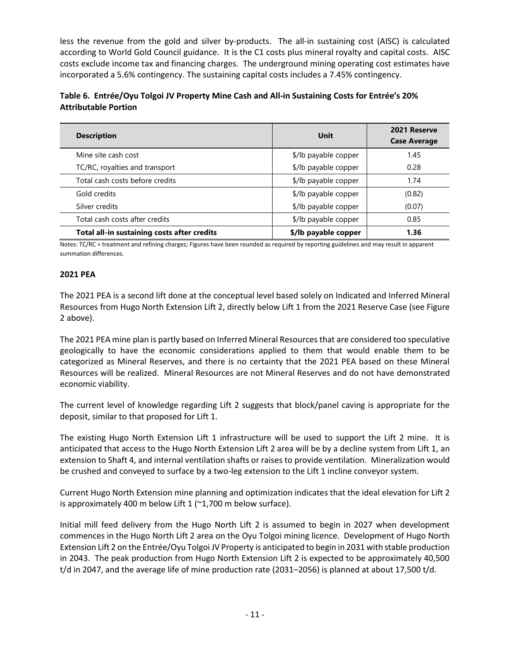less the revenue from the gold and silver by-products. The all-in sustaining cost (AISC) is calculated according to World Gold Council guidance. It is the C1 costs plus mineral royalty and capital costs. AISC costs exclude income tax and financing charges. The underground mining operating cost estimates have incorporated a 5.6% contingency. The sustaining capital costs includes a 7.45% contingency.

| Table 6. Entrée/Oyu Tolgoi JV Property Mine Cash and All-in Sustaining Costs for Entrée's 20% |  |
|-----------------------------------------------------------------------------------------------|--|
| <b>Attributable Portion</b>                                                                   |  |

| <b>Description</b>                          | Unit                 | 2021 Reserve<br><b>Case Average</b> |
|---------------------------------------------|----------------------|-------------------------------------|
| Mine site cash cost                         | \$/lb payable copper | 1.45                                |
| TC/RC, royalties and transport              | \$/lb payable copper | 0.28                                |
| Total cash costs before credits             | \$/lb payable copper | 1.74                                |
| Gold credits                                | \$/lb payable copper | (0.82)                              |
| Silver credits                              | \$/lb payable copper | (0.07)                              |
| Total cash costs after credits              | \$/lb payable copper | 0.85                                |
| Total all-in sustaining costs after credits | \$/lb payable copper | 1.36                                |

Notes: TC/RC = treatment and refining charges; Figures have been rounded as required by reporting guidelines and may result in apparent summation differences.

# **2021 PEA**

The 2021 PEA is a second lift done at the conceptual level based solely on Indicated and Inferred Mineral Resources from Hugo North Extension Lift 2, directly below Lift 1 from the 2021 Reserve Case (see Figure 2 above).

The 2021 PEA mine plan is partly based on Inferred Mineral Resources that are considered too speculative geologically to have the economic considerations applied to them that would enable them to be categorized as Mineral Reserves, and there is no certainty that the 2021 PEA based on these Mineral Resources will be realized. Mineral Resources are not Mineral Reserves and do not have demonstrated economic viability.

The current level of knowledge regarding Lift 2 suggests that block/panel caving is appropriate for the deposit, similar to that proposed for Lift 1.

The existing Hugo North Extension Lift 1 infrastructure will be used to support the Lift 2 mine. It is anticipated that access to the Hugo North Extension Lift 2 area will be by a decline system from Lift 1, an extension to Shaft 4, and internal ventilation shafts or raises to provide ventilation. Mineralization would be crushed and conveyed to surface by a two-leg extension to the Lift 1 incline conveyor system.

Current Hugo North Extension mine planning and optimization indicates that the ideal elevation for Lift 2 is approximately 400 m below Lift 1 (~1,700 m below surface).

Initial mill feed delivery from the Hugo North Lift 2 is assumed to begin in 2027 when development commences in the Hugo North Lift 2 area on the Oyu Tolgoi mining licence. Development of Hugo North Extension Lift 2 on the Entrée/Oyu Tolgoi JV Property is anticipated to begin in 2031 with stable production in 2043. The peak production from Hugo North Extension Lift 2 is expected to be approximately 40,500 t/d in 2047, and the average life of mine production rate (2031–2056) is planned at about 17,500 t/d.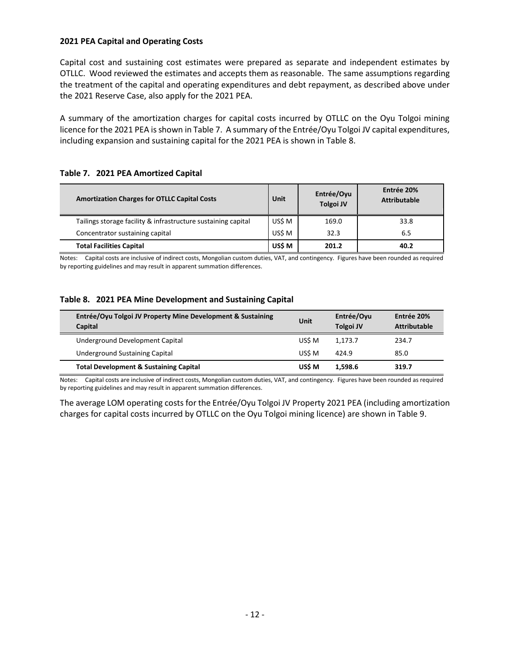#### **2021 PEA Capital and Operating Costs**

Capital cost and sustaining cost estimates were prepared as separate and independent estimates by OTLLC. Wood reviewed the estimates and accepts them as reasonable. The same assumptions regarding the treatment of the capital and operating expenditures and debt repayment, as described above under the 2021 Reserve Case, also apply for the 2021 PEA.

A summary of the amortization charges for capital costs incurred by OTLLC on the Oyu Tolgoi mining licence for the 2021 PEA is shown in Table 7. A summary of the Entrée/Oyu Tolgoi JV capital expenditures, including expansion and sustaining capital for the 2021 PEA is shown in Table 8.

#### **Table 7. 2021 PEA Amortized Capital**

| <b>Amortization Charges for OTLLC Capital Costs</b>           | Unit   | Entrée/Oyu<br><b>Tolgoi JV</b> | Entrée 20%<br><b>Attributable</b> |
|---------------------------------------------------------------|--------|--------------------------------|-----------------------------------|
| Tailings storage facility & infrastructure sustaining capital | US\$ M | 169.0                          | 33.8                              |
| Concentrator sustaining capital                               | US\$ M | 32.3                           | 6.5                               |
| <b>Total Facilities Capital</b>                               | US\$ M | 201.2                          | 40.2                              |

Notes: Capital costs are inclusive of indirect costs, Mongolian custom duties, VAT, and contingency. Figures have been rounded as required by reporting guidelines and may result in apparent summation differences.

#### **Table 8. 2021 PEA Mine Development and Sustaining Capital**

| Entrée/Oyu Tolgoi JV Property Mine Development & Sustaining<br><b>Capital</b> | Unit   | Entrée/Oyu<br><b>Tolgoi JV</b> | Entrée 20%<br><b>Attributable</b> |
|-------------------------------------------------------------------------------|--------|--------------------------------|-----------------------------------|
| Underground Development Capital                                               | US\$ M | 1.173.7                        | 234.7                             |
| Underground Sustaining Capital                                                | US\$ M | 424.9                          | 85.0                              |
| <b>Total Development &amp; Sustaining Capital</b>                             | US\$ M | 1.598.6                        | 319.7                             |

Notes: Capital costs are inclusive of indirect costs, Mongolian custom duties, VAT, and contingency. Figures have been rounded as required by reporting guidelines and may result in apparent summation differences.

The average LOM operating costs for the Entrée/Oyu Tolgoi JV Property 2021 PEA (including amortization charges for capital costs incurred by OTLLC on the Oyu Tolgoi mining licence) are shown in Table 9.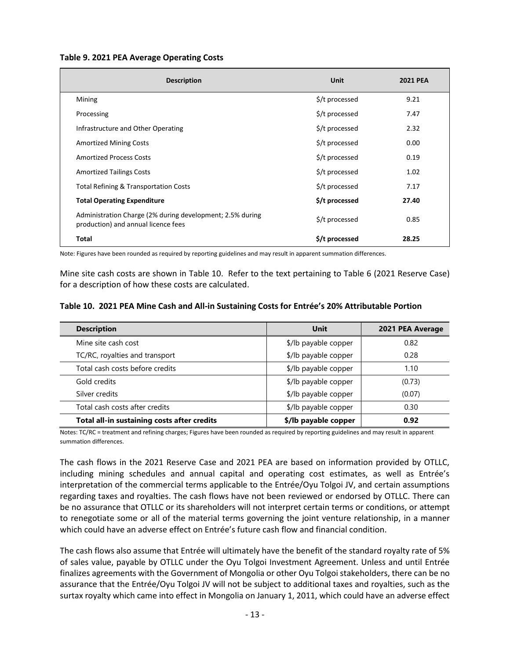#### **Table 9. 2021 PEA Average Operating Costs**

| <b>Description</b>                                                                               | <b>Unit</b>    | 2021 PEA |
|--------------------------------------------------------------------------------------------------|----------------|----------|
| Mining                                                                                           | \$/t processed | 9.21     |
| Processing                                                                                       | \$/t processed | 7.47     |
| Infrastructure and Other Operating                                                               | \$/t processed | 2.32     |
| <b>Amortized Mining Costs</b>                                                                    | \$/t processed | 0.00     |
| <b>Amortized Process Costs</b>                                                                   | \$/t processed | 0.19     |
| <b>Amortized Tailings Costs</b>                                                                  | \$/t processed | 1.02     |
| <b>Total Refining &amp; Transportation Costs</b>                                                 | \$/t processed | 7.17     |
| <b>Total Operating Expenditure</b>                                                               | \$/t processed | 27.40    |
| Administration Charge (2% during development; 2.5% during<br>production) and annual licence fees | \$/t processed | 0.85     |
| Total                                                                                            | \$/t processed | 28.25    |

Note: Figures have been rounded as required by reporting guidelines and may result in apparent summation differences.

Mine site cash costs are shown in Table 10. Refer to the text pertaining to Table 6 (2021 Reserve Case) for a description of how these costs are calculated.

|  |  |  |  |  | Table 10. 2021 PEA Mine Cash and All-in Sustaining Costs for Entrée's 20% Attributable Portion |
|--|--|--|--|--|------------------------------------------------------------------------------------------------|
|--|--|--|--|--|------------------------------------------------------------------------------------------------|

| <b>Description</b>                          | Unit                 | 2021 PEA Average |  |
|---------------------------------------------|----------------------|------------------|--|
| Mine site cash cost                         | \$/lb payable copper | 0.82             |  |
| TC/RC, royalties and transport              | \$/lb payable copper | 0.28             |  |
| Total cash costs before credits             | \$/lb payable copper | 1.10             |  |
| Gold credits                                | \$/lb payable copper | (0.73)           |  |
| Silver credits                              | \$/lb payable copper | (0.07)           |  |
| Total cash costs after credits              | \$/lb payable copper | 0.30             |  |
| Total all-in sustaining costs after credits | \$/lb payable copper | 0.92             |  |

Notes: TC/RC = treatment and refining charges; Figures have been rounded as required by reporting guidelines and may result in apparent summation differences.

The cash flows in the 2021 Reserve Case and 2021 PEA are based on information provided by OTLLC, including mining schedules and annual capital and operating cost estimates, as well as Entrée's interpretation of the commercial terms applicable to the Entrée/Oyu Tolgoi JV, and certain assumptions regarding taxes and royalties. The cash flows have not been reviewed or endorsed by OTLLC. There can be no assurance that OTLLC or its shareholders will not interpret certain terms or conditions, or attempt to renegotiate some or all of the material terms governing the joint venture relationship, in a manner which could have an adverse effect on Entrée's future cash flow and financial condition.

The cash flows also assume that Entrée will ultimately have the benefit of the standard royalty rate of 5% of sales value, payable by OTLLC under the Oyu Tolgoi Investment Agreement. Unless and until Entrée finalizes agreements with the Government of Mongolia or other Oyu Tolgoi stakeholders, there can be no assurance that the Entrée/Oyu Tolgoi JV will not be subject to additional taxes and royalties, such as the surtax royalty which came into effect in Mongolia on January 1, 2011, which could have an adverse effect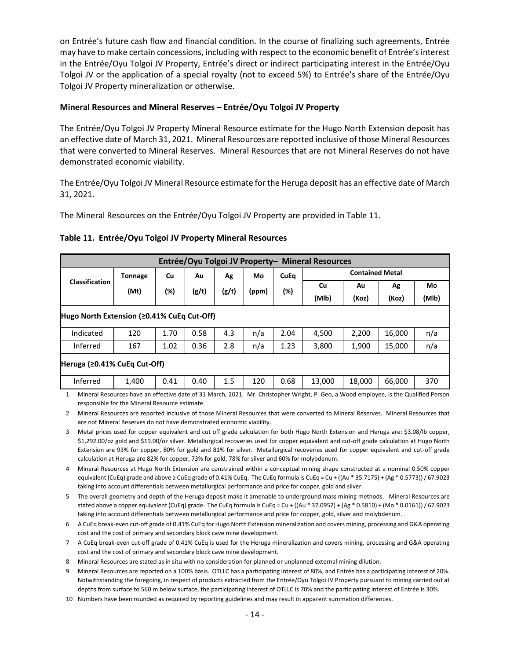on Entrée's future cash flow and financial condition. In the course of finalizing such agreements, Entrée may have to make certain concessions, including with respect to the economic benefit of Entrée's interest in the Entrée/Oyu Tolgoi JV Property, Entrée's direct or indirect participating interest in the Entrée/Oyu Tolgoi JV or the application of a special royalty (not to exceed 5%) to Entrée's share of the Entrée/Oyu Tolgoi JV Property mineralization or otherwise.

## **Mineral Resources and Mineral Reserves – Entrée/Oyu Tolgoi JV Property**

The Entrée/Oyu Tolgoi JV Property Mineral Resource estimate for the Hugo North Extension deposit has an effective date of March 31, 2021. Mineral Resources are reported inclusive of those Mineral Resources that were converted to Mineral Reserves. Mineral Resources that are not Mineral Reserves do not have demonstrated economic viability.

The Entrée/Oyu Tolgoi JV Mineral Resource estimate for the Heruga deposit has an effective date of March 31, 2021.

The Mineral Resources on the Entrée/Oyu Tolgoi JV Property are provided in Table 11.

|  | Table 11. Entrée/Oyu Tolgoi JV Property Mineral Resources |  |  |  |  |
|--|-----------------------------------------------------------|--|--|--|--|
|--|-----------------------------------------------------------|--|--|--|--|

| Entrée/Oyu Tolgoi JV Property- Mineral Resources  |                |      |       |       |       |             |                        |        |        |       |
|---------------------------------------------------|----------------|------|-------|-------|-------|-------------|------------------------|--------|--------|-------|
|                                                   | <b>Tonnage</b> | Cu   | Au    | Ag    | Mo    | <b>CuEq</b> | <b>Contained Metal</b> |        |        |       |
| <b>Classification</b>                             | (Mt)           | (%)  | (g/t) | (g/t) | (ppm) | (%)         | Cu                     | Au     | Ag     | Mo    |
|                                                   |                |      |       |       |       |             | (MIb)                  | (Koz)  | (Koz)  | (MIb) |
| Hugo North Extension ( $\geq$ 0.41% CuEq Cut-Off) |                |      |       |       |       |             |                        |        |        |       |
| Indicated                                         | 120            | 1.70 | 0.58  | 4.3   | n/a   | 2.04        | 4,500                  | 2,200  | 16,000 | n/a   |
| Inferred                                          | 167            | 1.02 | 0.36  | 2.8   | n/a   | 1.23        | 3,800                  | 1,900  | 15,000 | n/a   |
| Heruga (≥0.41% CuEq Cut-Off)                      |                |      |       |       |       |             |                        |        |        |       |
| Inferred                                          | 1,400          | 0.41 | 0.40  | 1.5   | 120   | 0.68        | 13,000                 | 18,000 | 66,000 | 370   |

1 Mineral Resources have an effective date of 31 March, 2021. Mr. Christopher Wright, P. Geo, a Wood employee, is the Qualified Person responsible for the Mineral Resource estimate.

2 Mineral Resources are reported inclusive of those Mineral Resources that were converted to Mineral Reserves. Mineral Resources that are not Mineral Reserves do not have demonstrated economic viability.

- 3 Metal prices used for copper equivalent and cut off grade calculation for both Hugo North Extension and Heruga are: \$3.08/lb copper, \$1,292.00/oz gold and \$19.00/oz silver. Metallurgical recoveries used for copper equivalent and cut-off grade calculation at Hugo North Extension are 93% for copper, 80% for gold and 81% for silver. Metallurgical recoveries used for copper equivalent and cut-off grade calculation at Heruga are 82% for copper, 73% for gold, 78% for silver and 60% for molybdenum.
- 4 Mineral Resources at Hugo North Extension are constrained within a conceptual mining shape constructed at a nominal 0.50% copper equivalent (CuEq) grade and above a CuEq grade of 0.41% CuEq. The CuEq formula is CuEq = Cu + ((Au \* 35.7175) + (Ag \* 0.5773)) / 67.9023 taking into account differentials between metallurgical performance and price for copper, gold and silver.
- 5 The overall geometry and depth of the Heruga deposit make it amenable to underground mass mining methods. Mineral Resources are stated above a copper equivalent (CuEq) grade. The CuEq formula is CuEq = Cu + ((Au \* 37.0952) + (Ag \* 0.5810) + (Mo \* 0.0161)) / 67.9023 taking into account differentials between metallurgical performance and price for copper, gold, silver and molybdenum.
- 6 A CuEq break-even cut-off grade of 0.41% CuEq for Hugo North Extension mineralization and covers mining, processing and G&A operating cost and the cost of primary and secondary block cave mine development.
- 7 A CuEq break-even cut-off grade of 0.41% CuEq is used for the Heruga mineralization and covers mining, processing and G&A operating cost and the cost of primary and secondary block cave mine development.
- 8 Mineral Resources are stated as in situ with no consideration for planned or unplanned external mining dilution.
- 9 Mineral Resources are reported on a 100% basis. OTLLC has a participating interest of 80%, and Entrée has a participating interest of 20%. Notwithstanding the foregoing, in respect of products extracted from the Entrée/Oyu Tolgoi JV Property pursuant to mining carried out at depths from surface to 560 m below surface, the participating interest of OTLLC is 70% and the participating interest of Entrée is 30%.
- 10 Numbers have been rounded as required by reporting guidelines and may result in apparent summation differences.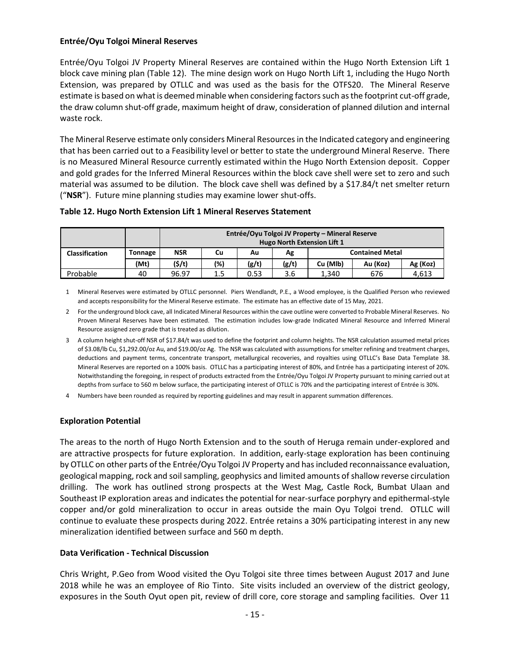## **Entrée/Oyu Tolgoi Mineral Reserves**

Entrée/Oyu Tolgoi JV Property Mineral Reserves are contained within the Hugo North Extension Lift 1 block cave mining plan (Table 12). The mine design work on Hugo North Lift 1, including the Hugo North Extension, was prepared by OTLLC and was used as the basis for the OTFS20. The Mineral Reserve estimate is based on what is deemed minable when considering factors such as the footprint cut-off grade, the draw column shut-off grade, maximum height of draw, consideration of planned dilution and internal waste rock.

The Mineral Reserve estimate only considers Mineral Resources in the Indicated category and engineering that has been carried out to a Feasibility level or better to state the underground Mineral Reserve. There is no Measured Mineral Resource currently estimated within the Hugo North Extension deposit. Copper and gold grades for the Inferred Mineral Resources within the block cave shell were set to zero and such material was assumed to be dilution. The block cave shell was defined by a \$17.84/t net smelter return ("**NSR**"). Future mine planning studies may examine lower shut-offs.

| Table 12. Hugo North Extension Lift 1 Mineral Reserves Statement |
|------------------------------------------------------------------|
|------------------------------------------------------------------|

|                       |         | Entrée/Oyu Tolgoi JV Property – Mineral Reserve<br><b>Hugo North Extension Lift 1</b> |         |       |       |                        |          |          |  |
|-----------------------|---------|---------------------------------------------------------------------------------------|---------|-------|-------|------------------------|----------|----------|--|
| <b>Classification</b> | Tonnage | <b>NSR</b>                                                                            | Cu      | Αu    | Αg    | <b>Contained Metal</b> |          |          |  |
|                       | (Mt)    | (5/t)                                                                                 | (%)     | (g/t) | (g/t) | Cu (Mlb)               | Au (Koz) | Ag (Koz) |  |
| Probable              | 40      | 96.97                                                                                 | $1.5\,$ | 0.53  | 3.6   | 1.340                  | 676      | 4.613    |  |

1 Mineral Reserves were estimated by OTLLC personnel. Piers Wendlandt, P.E., a Wood employee, is the Qualified Person who reviewed and accepts responsibility for the Mineral Reserve estimate. The estimate has an effective date of 15 May, 2021.

2 For the underground block cave, all Indicated Mineral Resources within the cave outline were converted to Probable Mineral Reserves. No Proven Mineral Reserves have been estimated. The estimation includes low-grade Indicated Mineral Resource and Inferred Mineral Resource assigned zero grade that is treated as dilution.

- 3 A column height shut-off NSR of \$17.84/t was used to define the footprint and column heights. The NSR calculation assumed metal prices of \$3.08/lb Cu, \$1,292.00/oz Au, and \$19.00/oz Ag. The NSR was calculated with assumptions for smelter refining and treatment charges, deductions and payment terms, concentrate transport, metallurgical recoveries, and royalties using OTLLC's Base Data Template 38. Mineral Reserves are reported on a 100% basis. OTLLC has a participating interest of 80%, and Entrée has a participating interest of 20%. Notwithstanding the foregoing, in respect of products extracted from the Entrée/Oyu Tolgoi JV Property pursuant to mining carried out at depths from surface to 560 m below surface, the participating interest of OTLLC is 70% and the participating interest of Entrée is 30%.
- 4 Numbers have been rounded as required by reporting guidelines and may result in apparent summation differences.

## **Exploration Potential**

The areas to the north of Hugo North Extension and to the south of Heruga remain under-explored and are attractive prospects for future exploration. In addition, early-stage exploration has been continuing by OTLLC on other parts of the Entrée/Oyu Tolgoi JV Property and has included reconnaissance evaluation, geological mapping, rock and soil sampling, geophysics and limited amounts of shallow reverse circulation drilling. The work has outlined strong prospects at the West Mag, Castle Rock, Bumbat Ulaan and Southeast IP exploration areas and indicates the potential for near-surface porphyry and epithermal-style copper and/or gold mineralization to occur in areas outside the main Oyu Tolgoi trend. OTLLC will continue to evaluate these prospects during 2022. Entrée retains a 30% participating interest in any new mineralization identified between surface and 560 m depth.

## **Data Verification - Technical Discussion**

Chris Wright, P.Geo from Wood visited the Oyu Tolgoi site three times between August 2017 and June 2018 while he was an employee of Rio Tinto. Site visits included an overview of the district geology, exposures in the South Oyut open pit, review of drill core, core storage and sampling facilities. Over 11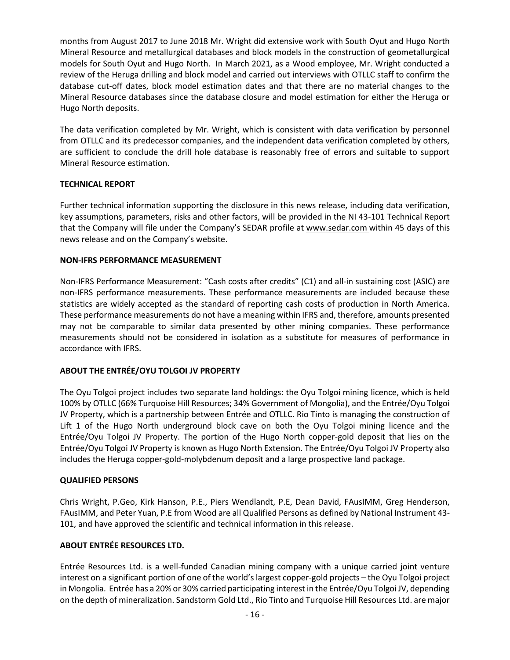months from August 2017 to June 2018 Mr. Wright did extensive work with South Oyut and Hugo North Mineral Resource and metallurgical databases and block models in the construction of geometallurgical models for South Oyut and Hugo North. In March 2021, as a Wood employee, Mr. Wright conducted a review of the Heruga drilling and block model and carried out interviews with OTLLC staff to confirm the database cut-off dates, block model estimation dates and that there are no material changes to the Mineral Resource databases since the database closure and model estimation for either the Heruga or Hugo North deposits.

The data verification completed by Mr. Wright, which is consistent with data verification by personnel from OTLLC and its predecessor companies, and the independent data verification completed by others, are sufficient to conclude the drill hole database is reasonably free of errors and suitable to support Mineral Resource estimation.

## **TECHNICAL REPORT**

Further technical information supporting the disclosure in this news release, including data verification, key assumptions, parameters, risks and other factors, will be provided in the NI 43-101 Technical Report that the Company will file under the Company's SEDAR profile at [www.sedar.com](http://www.sedar.com/) within 45 days of this news release and on the Company's website.

# **NON-IFRS PERFORMANCE MEASUREMENT**

Non-IFRS Performance Measurement: "Cash costs after credits" (C1) and all-in sustaining cost (ASIC) are non-IFRS performance measurements. These performance measurements are included because these statistics are widely accepted as the standard of reporting cash costs of production in North America. These performance measurements do not have a meaning within IFRS and, therefore, amounts presented may not be comparable to similar data presented by other mining companies. These performance measurements should not be considered in isolation as a substitute for measures of performance in accordance with IFRS.

# **ABOUT THE ENTRÉE/OYU TOLGOI JV PROPERTY**

The Oyu Tolgoi project includes two separate land holdings: the Oyu Tolgoi mining licence, which is held 100% by OTLLC (66% Turquoise Hill Resources; 34% Government of Mongolia), and the Entrée/Oyu Tolgoi JV Property, which is a partnership between Entrée and OTLLC. Rio Tinto is managing the construction of Lift 1 of the Hugo North underground block cave on both the Oyu Tolgoi mining licence and the Entrée/Oyu Tolgoi JV Property. The portion of the Hugo North copper-gold deposit that lies on the Entrée/Oyu Tolgoi JV Property is known as Hugo North Extension. The Entrée/Oyu Tolgoi JV Property also includes the Heruga copper-gold-molybdenum deposit and a large prospective land package.

## **QUALIFIED PERSONS**

Chris Wright, P.Geo, Kirk Hanson, P.E., Piers Wendlandt, P.E, Dean David, FAusIMM, Greg Henderson, FAusIMM, and Peter Yuan, P.E from Wood are all Qualified Persons as defined by National Instrument 43- 101, and have approved the scientific and technical information in this release.

# **ABOUT ENTRÉE RESOURCES LTD.**

Entrée Resources Ltd. is a well-funded Canadian mining company with a unique carried joint venture interest on a significant portion of one of the world's largest copper-gold projects – the Oyu Tolgoi project in Mongolia. Entrée has a 20% or 30% carried participating interest in the Entrée/Oyu Tolgoi JV, depending on the depth of mineralization. Sandstorm Gold Ltd., Rio Tinto and Turquoise Hill Resources Ltd. are major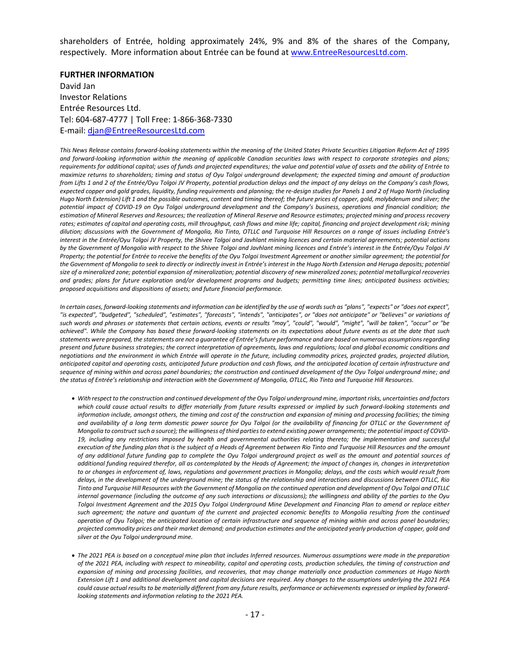shareholders of Entrée, holding approximately 24%, 9% and 8% of the shares of the Company, respectively. More information about Entrée can be found at [www.EntreeResourcesLtd.com.](http://www.entreeresourcesltd.com/)

#### **FURTHER INFORMATION**

David Jan Investor Relations Entrée Resources Ltd. Tel: 604-687-4777 | Toll Free: 1-866-368-7330 E-mail: [djan@EntreeResourcesLtd.com](mailto:djan@EntreeResourcesLtd.com)

*This News Release contains forward-looking statements within the meaning of the United States Private Securities Litigation Reform Act of 1995 and forward-looking information within the meaning of applicable Canadian securities laws with respect to corporate strategies and plans; requirements for additional capital; uses of funds and projected expenditures; the value and potential value of assets and the ability of Entrée to maximize returns to shareholders; timing and status of Oyu Tolgoi underground development; the expected timing and amount of production from Lifts 1 and 2 of the Entrée/Oyu Tolgoi JV Property, potential production delays and the impact of any delays on the Company's cash flows, expected copper and gold grades, liquidity, funding requirements and planning; the re-design studies for Panels 1 and 2 of Hugo North (including Hugo North Extension) Lift 1 and the possible outcomes, content and timing thereof; the future prices of copper, gold, molybdenum and silver; the potential impact of COVID-19 on Oyu Tolgoi underground development and the Company's business, operations and financial condition; the estimation of Mineral Reserves and Resources; the realization of Mineral Reserve and Resource estimates; projected mining and process recovery rates; estimates of capital and operating costs, mill throughput, cash flows and mine life; capital, financing and project development risk; mining dilution; discussions with the Government of Mongolia, Rio Tinto, OTLLC and Turquoise Hill Resources on a range of issues including Entrée's interest in the Entrée/Oyu Tolgoi JV Property, the Shivee Tolgoi and Javhlant mining licences and certain material agreements; potential actions by the Government of Mongolia with respect to the Shivee Tolgoi and Javhlant mining licences and Entrée's interest in the Entrée/Oyu Tolgoi JV Property; the potential for Entrée to receive the benefits of the Oyu Tolgoi Investment Agreement or another similar agreement; the potential for*  the Government of Mongolia to seek to directly or indirectly invest in Entrée's interest in the Hugo North Extension and Heruga deposits; potential *size of a mineralized zone; potential expansion of mineralization; potential discovery of new mineralized zones; potential metallurgical recoveries and grades; plans for future exploration and/or development programs and budgets; permitting time lines; anticipated business activities; proposed acquisitions and dispositions of assets; and future financial performance.*

*In certain cases, forward-looking statements and information can be identified by the use of words such as "plans", "expects" or "does not expect", "is expected", "budgeted", "scheduled", "estimates", "forecasts", "intends", "anticipates", or "does not anticipate" or "believes" or variations of such words and phrases or statements that certain actions, events or results "may", "could", "would", "might", "will be taken", "occur" or "be achieved". While the Company has based these forward-looking statements on its expectations about future events as at the date that such statements were prepared, the statements are not a guarantee of Entrée's future performance and are based on numerous assumptions regarding present and future business strategies; the correct interpretation of agreements, laws and regulations; local and global economic conditions and negotiations and the environment in which Entrée will operate in the future, including commodity prices, projected grades, projected dilution, anticipated capital and operating costs, anticipated future production and cash flows, and the anticipated location of certain infrastructure and sequence of mining within and across panel boundaries; the construction and continued development of the Oyu Tolgoi underground mine; and the status of Entrée's relationship and interaction with the Government of Mongolia, OTLLC, Rio Tinto and Turquoise Hill Resources.*

- *With respect to the construction and continued development of the Oyu Tolgoi underground mine, important risks, uncertainties and factors which could cause actual results to differ materially from future results expressed or implied by such forward-looking statements and information include, amongst others, the timing and cost of the construction and expansion of mining and processing facilities; the timing*  and availability of a long term domestic power source for Oyu Tolgoi (or the availability of financing for OTLLC or the Government of *Mongolia to construct such a source); the willingness of third parties to extend existing power arrangements; the potential impact of COVID-19, including any restrictions imposed by health and governmental authorities relating thereto; the implementation and successful execution of the funding plan that is the subject of a Heads of Agreement between Rio Tinto and Turquoise Hill Resources and the amount of any additional future funding gap to complete the Oyu Tolgoi underground project as well as the amount and potential sources of additional funding required therefor, all as contemplated by the Heads of Agreement; the impact of changes in, changes in interpretation*  to or changes in enforcement of, laws, regulations and government practices in Mongolia; delays, and the costs which would result from *delays, in the development of the underground mine; the status of the relationship and interactions and discussions between OTLLC, Rio Tinto and Turquoise Hill Resources with the Government of Mongolia on the continued operation and development of Oyu Tolgoi and OTLLC internal governance (including the outcome of any such interactions or discussions); the willingness and ability of the parties to the Oyu Tolgoi Investment Agreement and the 2015 Oyu Tolgoi Underground Mine Development and Financing Plan to amend or replace either*  such agreement; the nature and quantum of the current and projected economic benefits to Mongolia resulting from the continued *operation of Oyu Tolgoi; the anticipated location of certain infrastructure and sequence of mining within and across panel boundaries; projected commodity prices and their market demand; and production estimates and the anticipated yearly production of copper, gold and silver at the Oyu Tolgoi underground mine.*
- *The 2021 PEA is based on a conceptual mine plan that includes Inferred resources. Numerous assumptions were made in the preparation of the 2021 PEA, including with respect to mineability, capital and operating costs, production schedules, the timing of construction and expansion of mining and processing facilities, and recoveries, that may change materially once production commences at Hugo North Extension Lift 1 and additional development and capital decisions are required. Any changes to the assumptions underlying the 2021 PEA could cause actual results to be materially different from any future results, performance or achievements expressed or implied by forwardlooking statements and information relating to the 2021 PEA.*